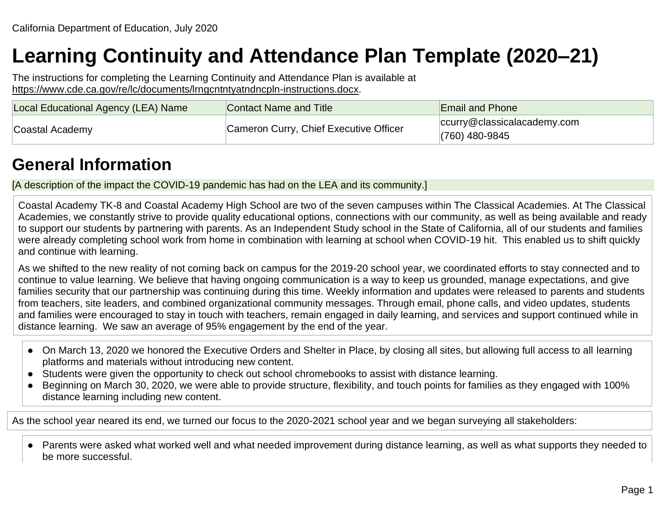# **Learning Continuity and Attendance Plan Template (2020–21)**

The instructions for completing the Learning Continuity and Attendance Plan is available at [https://www.cde.ca.gov/re/lc/documents/lrngcntntyatndncpln-instructions.docx.](https://www.cde.ca.gov/re/lc/documents/lrngcntntyatndncpln-instructions.docx)

| Local Educational Agency (LEA) Name | Contact Name and Title                 | <b>Email and Phone</b>                          |
|-------------------------------------|----------------------------------------|-------------------------------------------------|
| Coastal Academy                     | Cameron Curry, Chief Executive Officer | ccurry@classicalacademy.com<br>$(760)$ 480-9845 |

## **General Information**

[A description of the impact the COVID-19 pandemic has had on the LEA and its community.]

Coastal Academy TK-8 and Coastal Academy High School are two of the seven campuses within The Classical Academies. At The Classical Academies, we constantly strive to provide quality educational options, connections with our community, as well as being available and ready to support our students by partnering with parents. As an Independent Study school in the State of California, all of our students and families were already completing school work from home in combination with learning at school when COVID-19 hit. This enabled us to shift quickly and continue with learning.

As we shifted to the new reality of not coming back on campus for the 2019-20 school year, we coordinated efforts to stay connected and to continue to value learning. We believe that having ongoing communication is a way to keep us grounded, manage expectations, and give families security that our partnership was continuing during this time. Weekly information and updates were released to parents and students from teachers, site leaders, and combined organizational community messages. Through email, phone calls, and video updates, students and families were encouraged to stay in touch with teachers, remain engaged in daily learning, and services and support continued while in distance learning. We saw an average of 95% engagement by the end of the year.

- On March 13, 2020 we honored the Executive Orders and Shelter in Place, by closing all sites, but allowing full access to all learning platforms and materials without introducing new content.
- Students were given the opportunity to check out school chromebooks to assist with distance learning.
- Beginning on March 30, 2020, we were able to provide structure, flexibility, and touch points for families as they engaged with 100% distance learning including new content.

As the school year neared its end, we turned our focus to the 2020-2021 school year and we began surveying all stakeholders:

● Parents were asked what worked well and what needed improvement during distance learning, as well as what supports they needed to be more successful.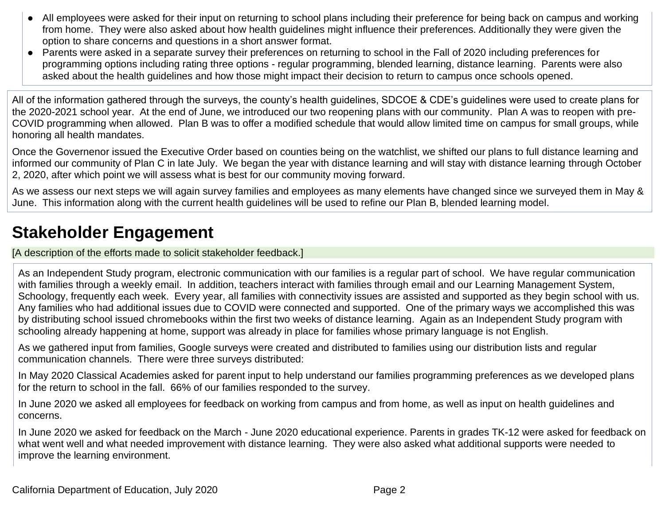- All employees were asked for their input on returning to school plans including their preference for being back on campus and working from home. They were also asked about how health guidelines might influence their preferences. Additionally they were given the option to share concerns and questions in a short answer format.
- Parents were asked in a separate survey their preferences on returning to school in the Fall of 2020 including preferences for programming options including rating three options - regular programming, blended learning, distance learning. Parents were also asked about the health guidelines and how those might impact their decision to return to campus once schools opened.

All of the information gathered through the surveys, the county's health guidelines, SDCOE & CDE's guidelines were used to create plans for the 2020-2021 school year. At the end of June, we introduced our two reopening plans with our community. Plan A was to reopen with pre-COVID programming when allowed. Plan B was to offer a modified schedule that would allow limited time on campus for small groups, while honoring all health mandates.

Once the Governenor issued the Executive Order based on counties being on the watchlist, we shifted our plans to full distance learning and informed our community of Plan C in late July. We began the year with distance learning and will stay with distance learning through October 2, 2020, after which point we will assess what is best for our community moving forward.

As we assess our next steps we will again survey families and employees as many elements have changed since we surveyed them in May & June. This information along with the current health guidelines will be used to refine our Plan B, blended learning model.

## **Stakeholder Engagement**

[A description of the efforts made to solicit stakeholder feedback.]

As an Independent Study program, electronic communication with our families is a regular part of school. We have regular communication with families through a weekly email. In addition, teachers interact with families through email and our Learning Management System, Schoology, frequently each week. Every year, all families with connectivity issues are assisted and supported as they begin school with us. Any families who had additional issues due to COVID were connected and supported. One of the primary ways we accomplished this was by distributing school issued chromebooks within the first two weeks of distance learning. Again as an Independent Study program with schooling already happening at home, support was already in place for families whose primary language is not English.

As we gathered input from families, Google surveys were created and distributed to families using our distribution lists and regular communication channels. There were three surveys distributed:

In May 2020 Classical Academies asked for parent input to help understand our families programming preferences as we developed plans for the return to school in the fall. 66% of our families responded to the survey.

In June 2020 we asked all employees for feedback on working from campus and from home, as well as input on health guidelines and concerns.

In June 2020 we asked for feedback on the March - June 2020 educational experience. Parents in grades TK-12 were asked for feedback on what went well and what needed improvement with distance learning. They were also asked what additional supports were needed to improve the learning environment.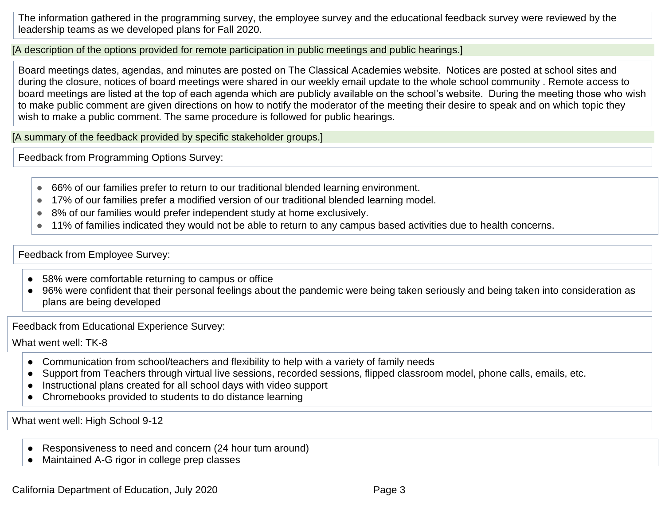The information gathered in the programming survey, the employee survey and the educational feedback survey were reviewed by the leadership teams as we developed plans for Fall 2020.

[A description of the options provided for remote participation in public meetings and public hearings.]

Board meetings dates, agendas, and minutes are posted on The Classical Academies website. Notices are posted at school sites and during the closure, notices of board meetings were shared in our weekly email update to the whole school community . Remote access to board meetings are listed at the top of each agenda which are publicly available on the school's website. During the meeting those who wish to make public comment are given directions on how to notify the moderator of the meeting their desire to speak and on which topic they wish to make a public comment. The same procedure is followed for public hearings.

[A summary of the feedback provided by specific stakeholder groups.]

Feedback from Programming Options Survey:

- 66% of our families prefer to return to our traditional blended learning environment.
- 17% of our families prefer a modified version of our traditional blended learning model.
- 8% of our families would prefer independent study at home exclusively.
- 11% of families indicated they would not be able to return to any campus based activities due to health concerns.

#### Feedback from Employee Survey:

- 58% were comfortable returning to campus or office
- 96% were confident that their personal feelings about the pandemic were being taken seriously and being taken into consideration as plans are being developed

Feedback from Educational Experience Survey:

What went well: TK-8

- Communication from school/teachers and flexibility to help with a variety of family needs
- Support from Teachers through virtual live sessions, recorded sessions, flipped classroom model, phone calls, emails, etc.
- Instructional plans created for all school days with video support
- Chromebooks provided to students to do distance learning

What went well: High School 9-12

- Responsiveness to need and concern (24 hour turn around)
- Maintained A-G rigor in college prep classes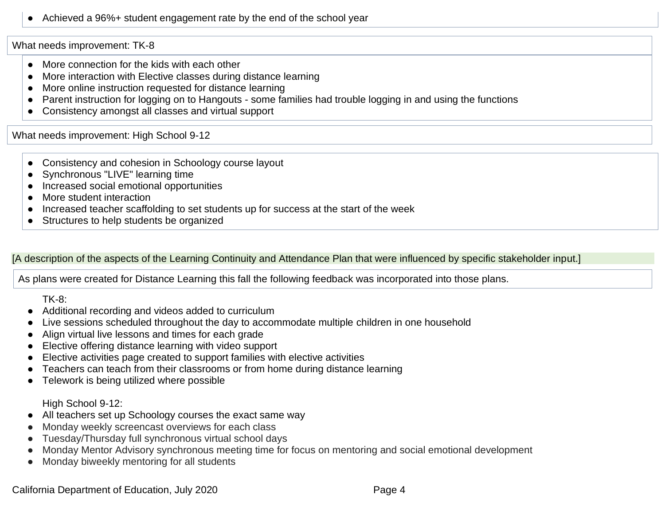Achieved a 96%+ student engagement rate by the end of the school year

What needs improvement: TK-8

- More connection for the kids with each other
- More interaction with Elective classes during distance learning
- More online instruction requested for distance learning
- Parent instruction for logging on to Hangouts some families had trouble logging in and using the functions
- Consistency amongst all classes and virtual support

What needs improvement: High School 9-12

- Consistency and cohesion in Schoology course layout
- Synchronous "LIVE" learning time
- Increased social emotional opportunities
- More student interaction
- Increased teacher scaffolding to set students up for success at the start of the week
- Structures to help students be organized

[A description of the aspects of the Learning Continuity and Attendance Plan that were influenced by specific stakeholder input.]

As plans were created for Distance Learning this fall the following feedback was incorporated into those plans.

TK-8:

- Additional recording and videos added to curriculum
- Live sessions scheduled throughout the day to accommodate multiple children in one household
- Align virtual live lessons and times for each grade
- Elective offering distance learning with video support
- Elective activities page created to support families with elective activities
- Teachers can teach from their classrooms or from home during distance learning
- Telework is being utilized where possible

High School 9-12:

- All teachers set up Schoology courses the exact same way
- Monday weekly screencast overviews for each class
- Tuesday/Thursday full synchronous virtual school days
- Monday Mentor Advisory synchronous meeting time for focus on mentoring and social emotional development
- Monday biweekly mentoring for all students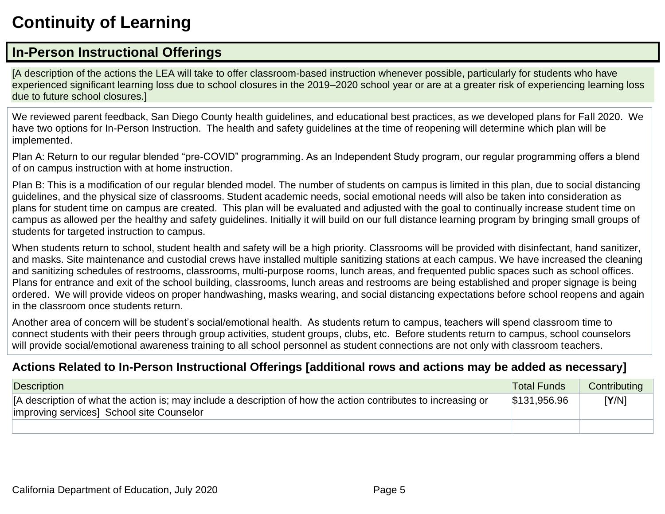## **Continuity of Learning**

### **In-Person Instructional Offerings**

[A description of the actions the LEA will take to offer classroom-based instruction whenever possible, particularly for students who have experienced significant learning loss due to school closures in the 2019–2020 school year or are at a greater risk of experiencing learning loss due to future school closures.]

We reviewed parent feedback, San Diego County health guidelines, and educational best practices, as we developed plans for Fall 2020. We have two options for In-Person Instruction. The health and safety guidelines at the time of reopening will determine which plan will be implemented.

Plan A: Return to our regular blended "pre-COVID" programming. As an Independent Study program, our regular programming offers a blend of on campus instruction with at home instruction.

Plan B: This is a modification of our regular blended model. The number of students on campus is limited in this plan, due to social distancing guidelines, and the physical size of classrooms. Student academic needs, social emotional needs will also be taken into consideration as plans for student time on campus are created. This plan will be evaluated and adjusted with the goal to continually increase student time on campus as allowed per the healthy and safety guidelines. Initially it will build on our full distance learning program by bringing small groups of students for targeted instruction to campus.

When students return to school, student health and safety will be a high priority. Classrooms will be provided with disinfectant, hand sanitizer, and masks. Site maintenance and custodial crews have installed multiple sanitizing stations at each campus. We have increased the cleaning and sanitizing schedules of restrooms, classrooms, multi-purpose rooms, lunch areas, and frequented public spaces such as school offices. Plans for entrance and exit of the school building, classrooms, lunch areas and restrooms are being established and proper signage is being ordered. We will provide videos on proper handwashing, masks wearing, and social distancing expectations before school reopens and again in the classroom once students return.

Another area of concern will be student's social/emotional health. As students return to campus, teachers will spend classroom time to connect students with their peers through group activities, student groups, clubs, etc. Before students return to campus, school counselors will provide social/emotional awareness training to all school personnel as student connections are not only with classroom teachers.

#### **Actions Related to In-Person Instructional Offerings [additional rows and actions may be added as necessary]**

| Description                                                                                                                                                 | <b>Total Funds</b> | Contributing |
|-------------------------------------------------------------------------------------------------------------------------------------------------------------|--------------------|--------------|
| [A description of what the action is; may include a description of how the action contributes to increasing or<br>improving services] School site Counselor |                    | [Y/N]        |
|                                                                                                                                                             |                    |              |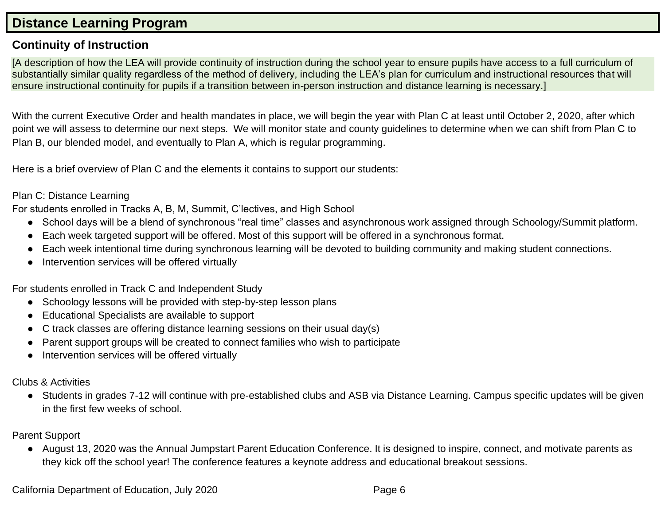### **Distance Learning Program**

#### **Continuity of Instruction**

[A description of how the LEA will provide continuity of instruction during the school year to ensure pupils have access to a full curriculum of substantially similar quality regardless of the method of delivery, including the LEA's plan for curriculum and instructional resources that will ensure instructional continuity for pupils if a transition between in-person instruction and distance learning is necessary.]

With the current Executive Order and health mandates in place, we will begin the year with Plan C at least until October 2, 2020, after which point we will assess to determine our next steps. We will monitor state and county guidelines to determine when we can shift from Plan C to Plan B, our blended model, and eventually to Plan A, which is regular programming.

Here is a brief overview of Plan C and the elements it contains to support our students:

#### Plan C: Distance Learning

For students enrolled in Tracks A, B, M, Summit, C'lectives, and High School

- School days will be a blend of synchronous "real time" classes and asynchronous work assigned through Schoology/Summit platform.
- Each week targeted support will be offered. Most of this support will be offered in a synchronous format.
- Each week intentional time during synchronous learning will be devoted to building community and making student connections.
- Intervention services will be offered virtually

For students enrolled in Track C and Independent Study

- Schoology lessons will be provided with step-by-step lesson plans
- Educational Specialists are available to support
- $\bullet$  C track classes are offering distance learning sessions on their usual day(s)
- Parent support groups will be created to connect families who wish to participate
- Intervention services will be offered virtually

Clubs & Activities

● Students in grades 7-12 will continue with pre-established clubs and ASB via Distance Learning. Campus specific updates will be given in the first few weeks of school.

#### Parent Support

● August 13, 2020 was the Annual Jumpstart Parent Education Conference. It is designed to inspire, connect, and motivate parents as they kick off the school year! The conference features a keynote address and educational breakout sessions.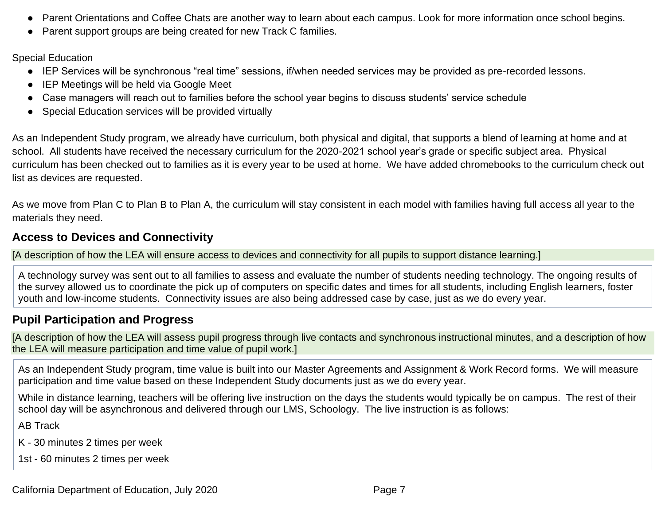- Parent Orientations and Coffee Chats are another way to learn about each campus. Look for more information once school begins.
- Parent support groups are being created for new Track C families.

Special Education

- IEP Services will be synchronous "real time" sessions, if/when needed services may be provided as pre-recorded lessons.
- IEP Meetings will be held via Google Meet
- Case managers will reach out to families before the school year begins to discuss students' service schedule
- Special Education services will be provided virtually

As an Independent Study program, we already have curriculum, both physical and digital, that supports a blend of learning at home and at school. All students have received the necessary curriculum for the 2020-2021 school year's grade or specific subject area. Physical curriculum has been checked out to families as it is every year to be used at home. We have added chromebooks to the curriculum check out list as devices are requested.

As we move from Plan C to Plan B to Plan A, the curriculum will stay consistent in each model with families having full access all year to the materials they need.

#### **Access to Devices and Connectivity**

[A description of how the LEA will ensure access to devices and connectivity for all pupils to support distance learning.]

A technology survey was sent out to all families to assess and evaluate the number of students needing technology. The ongoing results of the survey allowed us to coordinate the pick up of computers on specific dates and times for all students, including English learners, foster youth and low-income students. Connectivity issues are also being addressed case by case, just as we do every year.

#### **Pupil Participation and Progress**

[A description of how the LEA will assess pupil progress through live contacts and synchronous instructional minutes, and a description of how the LEA will measure participation and time value of pupil work.]

As an Independent Study program, time value is built into our Master Agreements and Assignment & Work Record forms. We will measure participation and time value based on these Independent Study documents just as we do every year.

While in distance learning, teachers will be offering live instruction on the days the students would typically be on campus. The rest of their school day will be asynchronous and delivered through our LMS, Schoology. The live instruction is as follows:

AB Track

- K 30 minutes 2 times per week
- 1st 60 minutes 2 times per week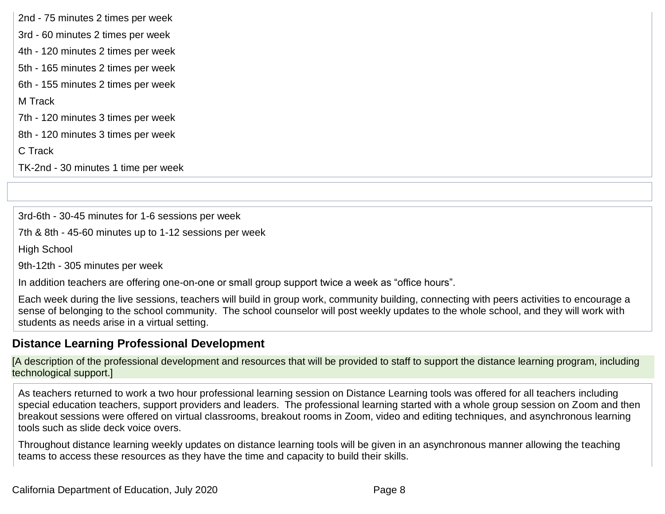2nd - 75 minutes 2 times per week 3rd - 60 minutes 2 times per week 4th - 120 minutes 2 times per week 5th - 165 minutes 2 times per week 6th - 155 minutes 2 times per week M Track 7th - 120 minutes 3 times per week 8th - 120 minutes 3 times per week C Track TK-2nd - 30 minutes 1 time per week

3rd-6th - 30-45 minutes for 1-6 sessions per week

7th & 8th - 45-60 minutes up to 1-12 sessions per week

High School

9th-12th - 305 minutes per week

In addition teachers are offering one-on-one or small group support twice a week as "office hours".

Each week during the live sessions, teachers will build in group work, community building, connecting with peers activities to encourage a sense of belonging to the school community. The school counselor will post weekly updates to the whole school, and they will work with students as needs arise in a virtual setting.

#### **Distance Learning Professional Development**

[A description of the professional development and resources that will be provided to staff to support the distance learning program, including technological support.]

As teachers returned to work a two hour professional learning session on Distance Learning tools was offered for all teachers including special education teachers, support providers and leaders. The professional learning started with a whole group session on Zoom and then breakout sessions were offered on virtual classrooms, breakout rooms in Zoom, video and editing techniques, and asynchronous learning tools such as slide deck voice overs.

Throughout distance learning weekly updates on distance learning tools will be given in an asynchronous manner allowing the teaching teams to access these resources as they have the time and capacity to build their skills.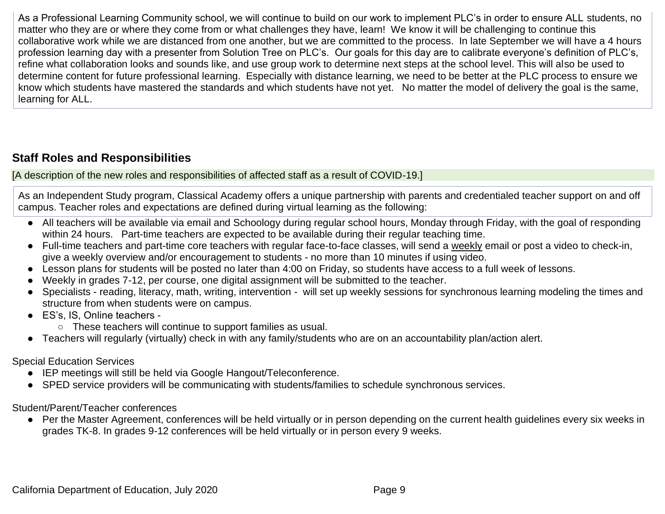As a Professional Learning Community school, we will continue to build on our work to implement PLC's in order to ensure ALL students, no matter who they are or where they come from or what challenges they have, learn! We know it will be challenging to continue this collaborative work while we are distanced from one another, but we are committed to the process. In late September we will have a 4 hours profession learning day with a presenter from Solution Tree on PLC's. Our goals for this day are to calibrate everyone's definition of PLC's, refine what collaboration looks and sounds like, and use group work to determine next steps at the school level. This will also be used to determine content for future professional learning. Especially with distance learning, we need to be better at the PLC process to ensure we know which students have mastered the standards and which students have not yet. No matter the model of delivery the goal is the same, learning for ALL.

### **Staff Roles and Responsibilities**

[A description of the new roles and responsibilities of affected staff as a result of COVID-19.]

As an Independent Study program, Classical Academy offers a unique partnership with parents and credentialed teacher support on and off campus. Teacher roles and expectations are defined during virtual learning as the following:

- All teachers will be available via email and Schoology during regular school hours, Monday through Friday, with the goal of responding within 24 hours. Part-time teachers are expected to be available during their regular teaching time.
- Full-time teachers and part-time core teachers with regular face-to-face classes, will send a weekly email or post a video to check-in, give a weekly overview and/or encouragement to students - no more than 10 minutes if using video.
- Lesson plans for students will be posted no later than 4:00 on Friday, so students have access to a full week of lessons.
- Weekly in grades 7-12, per course, one digital assignment will be submitted to the teacher.
- Specialists reading, literacy, math, writing, intervention will set up weekly sessions for synchronous learning modeling the times and structure from when students were on campus.
- ES's, IS, Online teachers -
	- These teachers will continue to support families as usual.
- Teachers will regularly (virtually) check in with any family/students who are on an accountability plan/action alert.

Special Education Services

- IEP meetings will still be held via Google Hangout/Teleconference.
- SPED service providers will be communicating with students/families to schedule synchronous services.

Student/Parent/Teacher conferences

● Per the Master Agreement, conferences will be held virtually or in person depending on the current health guidelines every six weeks in grades TK-8. In grades 9-12 conferences will be held virtually or in person every 9 weeks.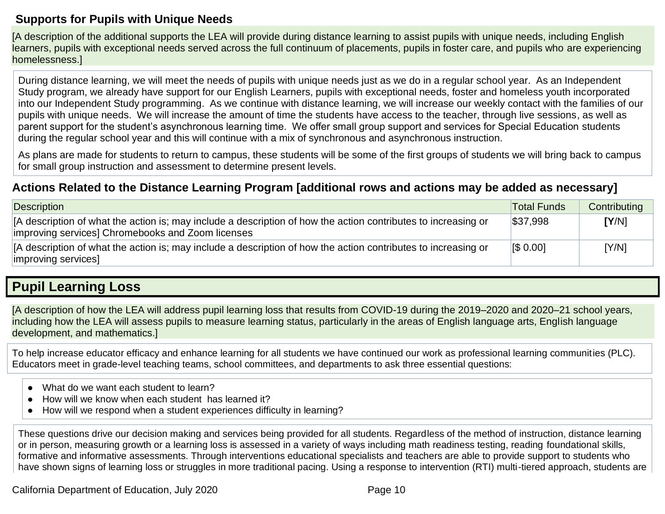#### **Supports for Pupils with Unique Needs**

[A description of the additional supports the LEA will provide during distance learning to assist pupils with unique needs, including English learners, pupils with exceptional needs served across the full continuum of placements, pupils in foster care, and pupils who are experiencing homelessness.]

During distance learning, we will meet the needs of pupils with unique needs just as we do in a regular school year. As an Independent Study program, we already have support for our English Learners, pupils with exceptional needs, foster and homeless youth incorporated into our Independent Study programming. As we continue with distance learning, we will increase our weekly contact with the families of our pupils with unique needs. We will increase the amount of time the students have access to the teacher, through live sessions, as well as parent support for the student's asynchronous learning time. We offer small group support and services for Special Education students during the regular school year and this will continue with a mix of synchronous and asynchronous instruction.

As plans are made for students to return to campus, these students will be some of the first groups of students we will bring back to campus for small group instruction and assessment to determine present levels.

#### **Actions Related to the Distance Learning Program [additional rows and actions may be added as necessary]**

| Description                                                                                                                                                         | <b>Total Funds</b> | Contributing |
|---------------------------------------------------------------------------------------------------------------------------------------------------------------------|--------------------|--------------|
| [A description of what the action is; may include a description of how the action contributes to increasing or<br>improving services] Chromebooks and Zoom licenses | \$37,998           | [Y/N]        |
| [A description of what the action is; may include a description of how the action contributes to increasing or<br>improving services]                               | <b>IS 0.001</b>    | [Y/N]        |

### **Pupil Learning Loss**

[A description of how the LEA will address pupil learning loss that results from COVID-19 during the 2019–2020 and 2020–21 school years, including how the LEA will assess pupils to measure learning status, particularly in the areas of English language arts, English language development, and mathematics.]

To help increase educator efficacy and enhance learning for all students we have continued our work as professional learning communities (PLC). Educators meet in grade-level teaching teams, school committees, and departments to ask three essential questions:

- What do we want each student to learn?
- How will we know when each student has learned it?
- How will we respond when a student experiences difficulty in learning?

These questions drive our decision making and services being provided for all students. Regardless of the method of instruction, distance learning or in person, measuring growth or a learning loss is assessed in a variety of ways including math readiness testing, reading foundational skills, formative and informative assessments. Through interventions educational specialists and teachers are able to provide support to students who have shown signs of learning loss or struggles in more traditional pacing. Using a response to intervention (RTI) multi-tiered approach, students are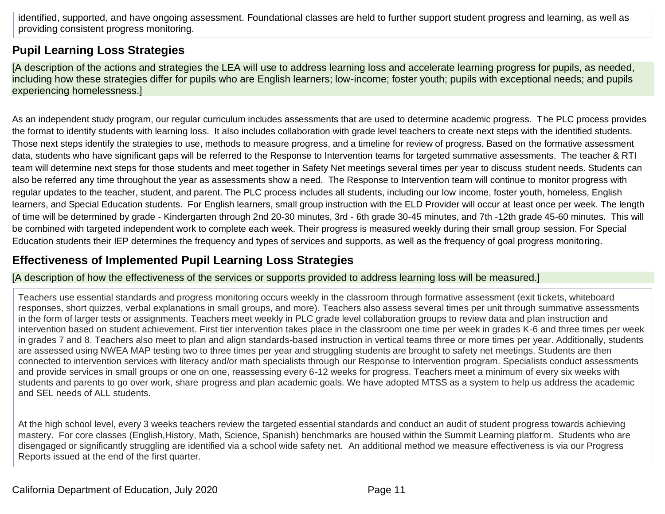identified, supported, and have ongoing assessment. Foundational classes are held to further support student progress and learning, as well as providing consistent progress monitoring.

#### **Pupil Learning Loss Strategies**

[A description of the actions and strategies the LEA will use to address learning loss and accelerate learning progress for pupils, as needed, including how these strategies differ for pupils who are English learners; low-income; foster youth; pupils with exceptional needs; and pupils experiencing homelessness.]

As an independent study program, our regular curriculum includes assessments that are used to determine academic progress. The PLC process provides the format to identify students with learning loss. It also includes collaboration with grade level teachers to create next steps with the identified students. Those next steps identify the strategies to use, methods to measure progress, and a timeline for review of progress. Based on the formative assessment data, students who have significant gaps will be referred to the Response to Intervention teams for targeted summative assessments. The teacher & RTI team will determine next steps for those students and meet together in Safety Net meetings several times per year to discuss student needs. Students can also be referred any time throughout the year as assessments show a need. The Response to Intervention team will continue to monitor progress with regular updates to the teacher, student, and parent. The PLC process includes all students, including our low income, foster youth, homeless, English learners, and Special Education students. For English learners, small group instruction with the ELD Provider will occur at least once per week. The length of time will be determined by grade - Kindergarten through 2nd 20-30 minutes, 3rd - 6th grade 30-45 minutes, and 7th -12th grade 45-60 minutes. This will be combined with targeted independent work to complete each week. Their progress is measured weekly during their small group session. For Special Education students their IEP determines the frequency and types of services and supports, as well as the frequency of goal progress monitoring.

### **Effectiveness of Implemented Pupil Learning Loss Strategies**

[A description of how the effectiveness of the services or supports provided to address learning loss will be measured.]

Teachers use essential standards and progress monitoring occurs weekly in the classroom through formative assessment (exit tickets, whiteboard responses, short quizzes, verbal explanations in small groups, and more). Teachers also assess several times per unit through summative assessments in the form of larger tests or assignments. Teachers meet weekly in PLC grade level collaboration groups to review data and plan instruction and intervention based on student achievement. First tier intervention takes place in the classroom one time per week in grades K-6 and three times per week in grades 7 and 8. Teachers also meet to plan and align standards-based instruction in vertical teams three or more times per year. Additionally, students are assessed using NWEA MAP testing two to three times per year and struggling students are brought to safety net meetings. Students are then connected to intervention services with literacy and/or math specialists through our Response to Intervention program. Specialists conduct assessments and provide services in small groups or one on one, reassessing every 6-12 weeks for progress. Teachers meet a minimum of every six weeks with students and parents to go over work, share progress and plan academic goals. We have adopted MTSS as a system to help us address the academic and SEL needs of ALL students.

At the high school level, every 3 weeks teachers review the targeted essential standards and conduct an audit of student progress towards achieving mastery. For core classes (English,History, Math, Science, Spanish) benchmarks are housed within the Summit Learning platform. Students who are disengaged or significantly struggling are identified via a school wide safety net. An additional method we measure effectiveness is via our Progress Reports issued at the end of the first quarter.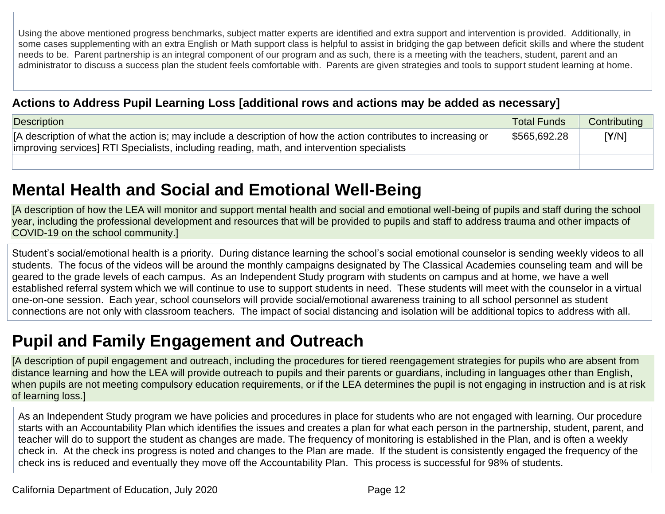Using the above mentioned progress benchmarks, subject matter experts are identified and extra support and intervention is provided. Additionally, in some cases supplementing with an extra English or Math support class is helpful to assist in bridging the gap between deficit skills and where the student needs to be. Parent partnership is an integral component of our program and as such, there is a meeting with the teachers, student, parent and an administrator to discuss a success plan the student feels comfortable with. Parents are given strategies and tools to support student learning at home.

#### **Actions to Address Pupil Learning Loss [additional rows and actions may be added as necessary]**

| Description                                                                                                                                                                                                  | <b>Total Funds</b> | Contributing |
|--------------------------------------------------------------------------------------------------------------------------------------------------------------------------------------------------------------|--------------------|--------------|
| IA description of what the action is; may include a description of how the action contributes to increasing or<br>improving services] RTI Specialists, including reading, math, and intervention specialists | \$565,692.28       | [Y/N]        |
|                                                                                                                                                                                                              |                    |              |

## **Mental Health and Social and Emotional Well-Being**

[A description of how the LEA will monitor and support mental health and social and emotional well-being of pupils and staff during the school year, including the professional development and resources that will be provided to pupils and staff to address trauma and other impacts of COVID-19 on the school community.]

Student's social/emotional health is a priority. During distance learning the school's social emotional counselor is sending weekly videos to all students. The focus of the videos will be around the monthly campaigns designated by The Classical Academies counseling team and will be geared to the grade levels of each campus. As an Independent Study program with students on campus and at home, we have a well established referral system which we will continue to use to support students in need. These students will meet with the counselor in a virtual one-on-one session. Each year, school counselors will provide social/emotional awareness training to all school personnel as student connections are not only with classroom teachers. The impact of social distancing and isolation will be additional topics to address with all.

## **Pupil and Family Engagement and Outreach**

[A description of pupil engagement and outreach, including the procedures for tiered reengagement strategies for pupils who are absent from distance learning and how the LEA will provide outreach to pupils and their parents or guardians, including in languages other than English, when pupils are not meeting compulsory education requirements, or if the LEA determines the pupil is not engaging in instruction and is at risk of learning loss.]

As an Independent Study program we have policies and procedures in place for students who are not engaged with learning. Our procedure starts with an Accountability Plan which identifies the issues and creates a plan for what each person in the partnership, student, parent, and teacher will do to support the student as changes are made. The frequency of monitoring is established in the Plan, and is often a weekly check in. At the check ins progress is noted and changes to the Plan are made. If the student is consistently engaged the frequency of the check ins is reduced and eventually they move off the Accountability Plan. This process is successful for 98% of students.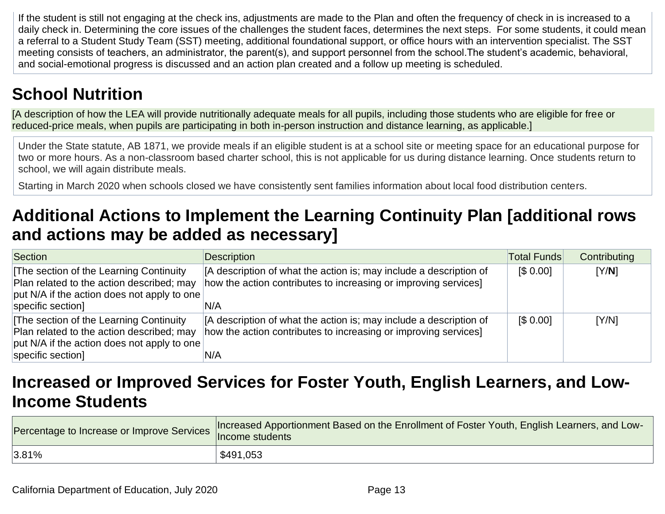If the student is still not engaging at the check ins, adjustments are made to the Plan and often the frequency of check in is increased to a daily check in. Determining the core issues of the challenges the student faces, determines the next steps. For some students, it could mean a referral to a Student Study Team (SST) meeting, additional foundational support, or office hours with an intervention specialist. The SST meeting consists of teachers, an administrator, the parent(s), and support personnel from the school.The student's academic, behavioral, and social-emotional progress is discussed and an action plan created and a follow up meeting is scheduled.

## **School Nutrition**

[A description of how the LEA will provide nutritionally adequate meals for all pupils, including those students who are eligible for free or reduced-price meals, when pupils are participating in both in-person instruction and distance learning, as applicable.]

Under the State statute, AB 1871, we provide meals if an eligible student is at a school site or meeting space for an educational purpose for two or more hours. As a non-classroom based charter school, this is not applicable for us during distance learning. Once students return to school, we will again distribute meals.

Starting in March 2020 when schools closed we have consistently sent families information about local food distribution centers.

## **Additional Actions to Implement the Learning Continuity Plan [additional rows and actions may be added as necessary]**

| Section                                     | <b>Description</b>                                                 | <b>Total Funds</b> | Contributing |
|---------------------------------------------|--------------------------------------------------------------------|--------------------|--------------|
| The section of the Learning Continuity      | [A description of what the action is; may include a description of | \$0.00]            | [Y/N]        |
| Plan related to the action described; may   | how the action contributes to increasing or improving services]    |                    |              |
| put N/A if the action does not apply to one |                                                                    |                    |              |
| specific section]                           | 'N/A                                                               |                    |              |
| The section of the Learning Continuity      | [A description of what the action is; may include a description of | \$0.00]            | [Y/N]        |
| Plan related to the action described; may   | how the action contributes to increasing or improving services]    |                    |              |
| put N/A if the action does not apply to one |                                                                    |                    |              |
| specific section]                           | N/A                                                                |                    |              |

### **Increased or Improved Services for Foster Youth, English Learners, and Low-Income Students**

| ercentage to Increase or Improve Services norweard the students | Increased Apportionment Based on the Enrollment of Foster Youth, English Learners, and Low- |
|-----------------------------------------------------------------|---------------------------------------------------------------------------------------------|
| $ 3.81\%$                                                       | \$491,053                                                                                   |